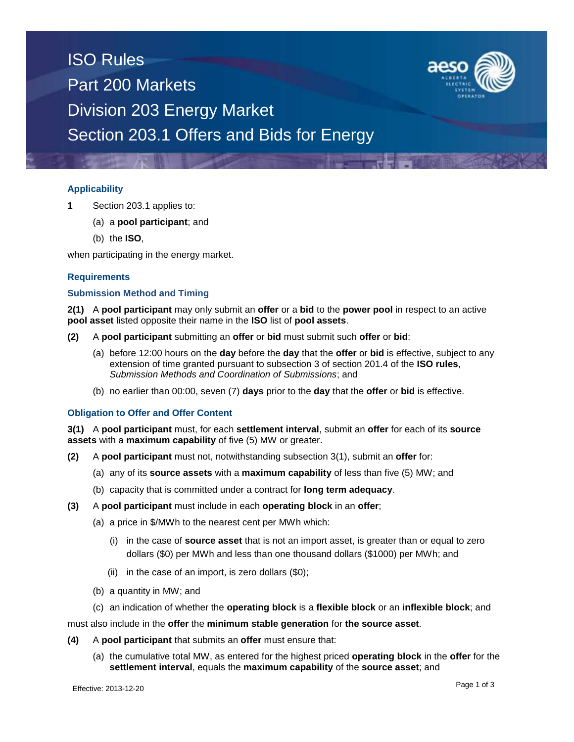## ISO Rules Part 200 Markets Division 203 Energy Market Section 203.1 Offers and Bids for Energy

### **Applicability**

- **1** Section 203.1 applies to:
	- (a) a **pool participant**; and
	- (b) the **ISO**,

when participating in the energy market.

#### **Requirements**

#### **Submission Method and Timing**

**2(1)** A **pool participant** may only submit an **offer** or a **bid** to the **power pool** in respect to an active **pool asset** listed opposite their name in the **ISO** list of **pool assets**.

- **(2)** A **pool participant** submitting an **offer** or **bid** must submit such **offer** or **bid**:
	- (a) before 12:00 hours on the **day** before the **day** that the **offer** or **bid** is effective, subject to any extension of time granted pursuant to subsection 3 of section 201.4 of the **ISO rules**, *Submission Methods and Coordination of Submissions*; and
	- (b) no earlier than 00:00, seven (7) **days** prior to the **day** that the **offer** or **bid** is effective.

#### **Obligation to Offer and Offer Content**

**3(1)** A **pool participant** must, for each **settlement interval**, submit an **offer** for each of its **source assets** with a **maximum capability** of five (5) MW or greater.

- **(2)** A **pool participant** must not, notwithstanding subsection 3(1), submit an **offer** for:
	- (a) any of its **source assets** with a **maximum capability** of less than five (5) MW; and
	- (b) capacity that is committed under a contract for **long term adequacy**.
- **(3)** A **pool participant** must include in each **operating block** in an **offer**;
	- (a) a price in \$/MWh to the nearest cent per MWh which:
		- (i) in the case of **source asset** that is not an import asset, is greater than or equal to zero dollars (\$0) per MWh and less than one thousand dollars (\$1000) per MWh; and
		- (ii) in the case of an import, is zero dollars  $(\$0)$ ;
	- (b) a quantity in MW; and
	- (c) an indication of whether the **operating block** is a **flexible block** or an **inflexible block**; and

must also include in the **offer** the **minimum stable generation** for **the source asset**.

- **(4)** A **pool participant** that submits an **offer** must ensure that:
	- (a) the cumulative total MW, as entered for the highest priced **operating block** in the **offer** for the **settlement interval**, equals the **maximum capability** of the **source asset**; and

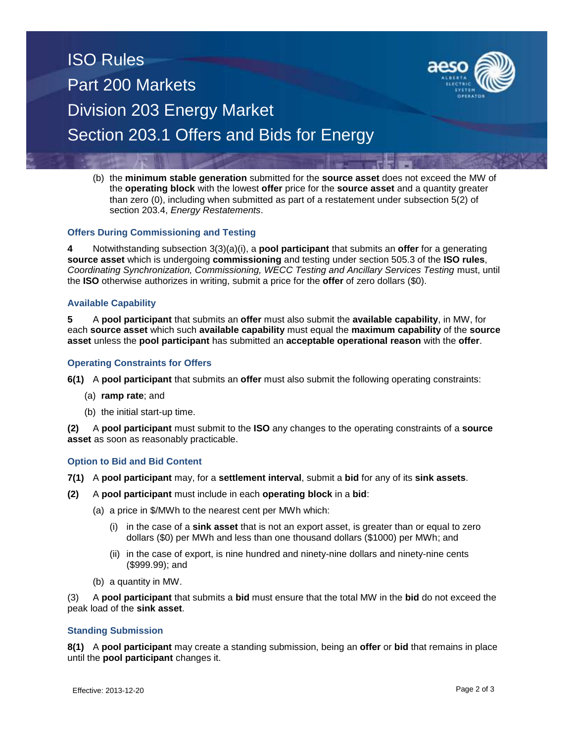# ISO Rules Part 200 Markets Division 203 Energy Market Section 203.1 Offers and Bids for Energy



(b) the **minimum stable generation** submitted for the **source asset** does not exceed the MW of the **operating block** with the lowest **offer** price for the **source asset** and a quantity greater than zero (0), including when submitted as part of a restatement under subsection 5(2) of section 203.4, *Energy Restatements*.

#### **Offers During Commissioning and Testing**

**4** Notwithstanding subsection 3(3)(a)(i), a **pool participant** that submits an **offer** for a generating **source asset** which is undergoing **commissioning** and testing under section 505.3 of the **ISO rules**, *Coordinating Synchronization, Commissioning, WECC Testing and Ancillary Services Testing* must, until the **ISO** otherwise authorizes in writing, submit a price for the **offer** of zero dollars (\$0).

#### **Available Capability**

**5** A **pool participant** that submits an **offer** must also submit the **available capability**, in MW, for each **source asset** which such **available capability** must equal the **maximum capability** of the **source asset** unless the **pool participant** has submitted an **acceptable operational reason** with the **offer**.

#### **Operating Constraints for Offers**

- **6(1)** A **pool participant** that submits an **offer** must also submit the following operating constraints:
	- (a) **ramp rate**; and
	- (b) the initial start-up time.

**(2)** A **pool participant** must submit to the **ISO** any changes to the operating constraints of a **source asset** as soon as reasonably practicable.

#### **Option to Bid and Bid Content**

- **7(1)** A **pool participant** may, for a **settlement interval**, submit a **bid** for any of its **sink assets**.
- **(2)** A **pool participant** must include in each **operating block** in a **bid**:
	- (a) a price in \$/MWh to the nearest cent per MWh which:
		- (i) in the case of a **sink asset** that is not an export asset, is greater than or equal to zero dollars (\$0) per MWh and less than one thousand dollars (\$1000) per MWh; and
		- (ii) in the case of export, is nine hundred and ninety-nine dollars and ninety-nine cents (\$999.99); and
	- (b) a quantity in MW.

(3) A **pool participant** that submits a **bid** must ensure that the total MW in the **bid** do not exceed the peak load of the **sink asset**.

#### **Standing Submission**

**8(1)** A **pool participant** may create a standing submission, being an **offer** or **bid** that remains in place until the **pool participant** changes it.